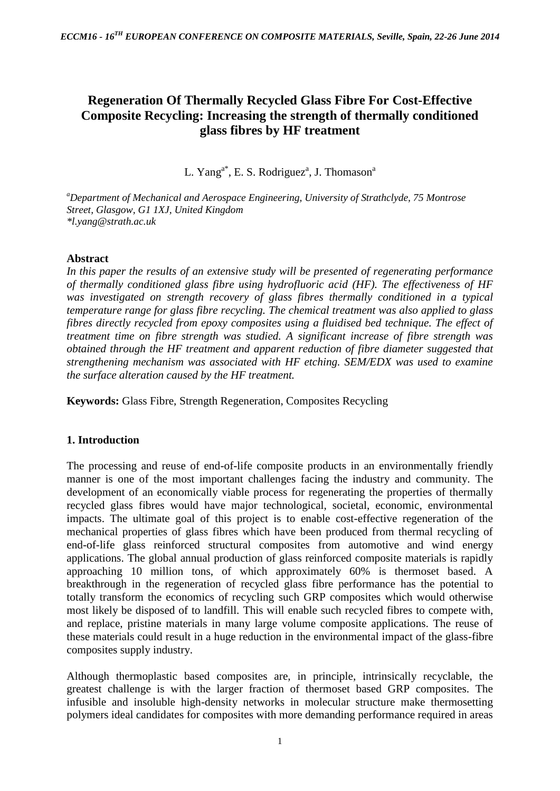# **Regeneration Of Thermally Recycled Glass Fibre For Cost-Effective Composite Recycling: Increasing the strength of thermally conditioned glass fibres by HF treatment**

L. Yang<sup>a\*</sup>, E. S. Rodriguez<sup>a</sup>, J. Thomason<sup>a</sup>

*<sup>a</sup>Department of Mechanical and Aerospace Engineering, University of Strathclyde, 75 Montrose Street, Glasgow, G1 1XJ, United Kingdom \*l.yang@strath.ac.uk*

## **Abstract**

*In this paper the results of an extensive study will be presented of regenerating performance of thermally conditioned glass fibre using hydrofluoric acid (HF). The effectiveness of HF*  was investigated on strength recovery of glass fibres thermally conditioned in a typical *temperature range for glass fibre recycling. The chemical treatment was also applied to glass fibres directly recycled from epoxy composites using a fluidised bed technique. The effect of treatment time on fibre strength was studied. A significant increase of fibre strength was obtained through the HF treatment and apparent reduction of fibre diameter suggested that strengthening mechanism was associated with HF etching. SEM/EDX was used to examine the surface alteration caused by the HF treatment.*

**Keywords:** Glass Fibre, Strength Regeneration, Composites Recycling

## **1. Introduction**

The processing and reuse of end-of-life composite products in an environmentally friendly manner is one of the most important challenges facing the industry and community. The development of an economically viable process for regenerating the properties of thermally recycled glass fibres would have major technological, societal, economic, environmental impacts. The ultimate goal of this project is to enable cost-effective regeneration of the mechanical properties of glass fibres which have been produced from thermal recycling of end-of-life glass reinforced structural composites from automotive and wind energy applications. The global annual production of glass reinforced composite materials is rapidly approaching 10 million tons, of which approximately 60% is thermoset based. A breakthrough in the regeneration of recycled glass fibre performance has the potential to totally transform the economics of recycling such GRP composites which would otherwise most likely be disposed of to landfill. This will enable such recycled fibres to compete with, and replace, pristine materials in many large volume composite applications. The reuse of these materials could result in a huge reduction in the environmental impact of the glass-fibre composites supply industry.

Although thermoplastic based composites are, in principle, intrinsically recyclable, the greatest challenge is with the larger fraction of thermoset based GRP composites. The infusible and insoluble high-density networks in molecular structure make thermosetting polymers ideal candidates for composites with more demanding performance required in areas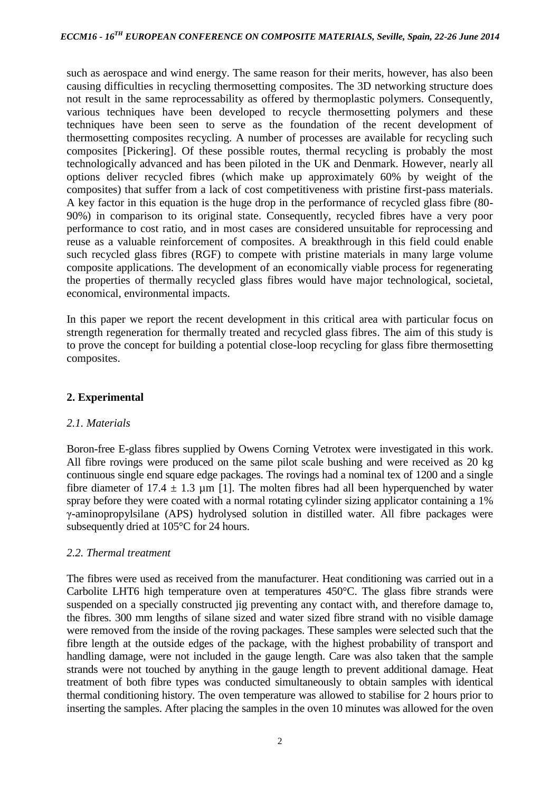such as aerospace and wind energy. The same reason for their merits, however, has also been causing difficulties in recycling thermosetting composites. The 3D networking structure does not result in the same reprocessability as offered by thermoplastic polymers. Consequently, various techniques have been developed to recycle thermosetting polymers and these techniques have been seen to serve as the foundation of the recent development of thermosetting composites recycling. A number of processes are available for recycling such composites [Pickering]. Of these possible routes, thermal recycling is probably the most technologically advanced and has been piloted in the UK and Denmark. However, nearly all options deliver recycled fibres (which make up approximately 60% by weight of the composites) that suffer from a lack of cost competitiveness with pristine first-pass materials. A key factor in this equation is the huge drop in the performance of recycled glass fibre (80- 90%) in comparison to its original state. Consequently, recycled fibres have a very poor performance to cost ratio, and in most cases are considered unsuitable for reprocessing and reuse as a valuable reinforcement of composites. A breakthrough in this field could enable such recycled glass fibres (RGF) to compete with pristine materials in many large volume composite applications. The development of an economically viable process for regenerating the properties of thermally recycled glass fibres would have major technological, societal, economical, environmental impacts.

In this paper we report the recent development in this critical area with particular focus on strength regeneration for thermally treated and recycled glass fibres. The aim of this study is to prove the concept for building a potential close-loop recycling for glass fibre thermosetting composites.

## **2. Experimental**

#### *2.1. Materials*

Boron-free E-glass fibres supplied by Owens Corning Vetrotex were investigated in this work. All fibre rovings were produced on the same pilot scale bushing and were received as 20 kg continuous single end square edge packages. The rovings had a nominal tex of 1200 and a single fibre diameter of 17.4  $\pm$  1.3 µm [1]. The molten fibres had all been hyperquenched by water spray before they were coated with a normal rotating cylinder sizing applicator containing a 1% γ-aminopropylsilane (APS) hydrolysed solution in distilled water. All fibre packages were subsequently dried at 105°C for 24 hours.

#### *2.2. Thermal treatment*

The fibres were used as received from the manufacturer. Heat conditioning was carried out in a Carbolite LHT6 high temperature oven at temperatures 450°C. The glass fibre strands were suspended on a specially constructed jig preventing any contact with, and therefore damage to, the fibres. 300 mm lengths of silane sized and water sized fibre strand with no visible damage were removed from the inside of the roving packages. These samples were selected such that the fibre length at the outside edges of the package, with the highest probability of transport and handling damage, were not included in the gauge length. Care was also taken that the sample strands were not touched by anything in the gauge length to prevent additional damage. Heat treatment of both fibre types was conducted simultaneously to obtain samples with identical thermal conditioning history. The oven temperature was allowed to stabilise for 2 hours prior to inserting the samples. After placing the samples in the oven 10 minutes was allowed for the oven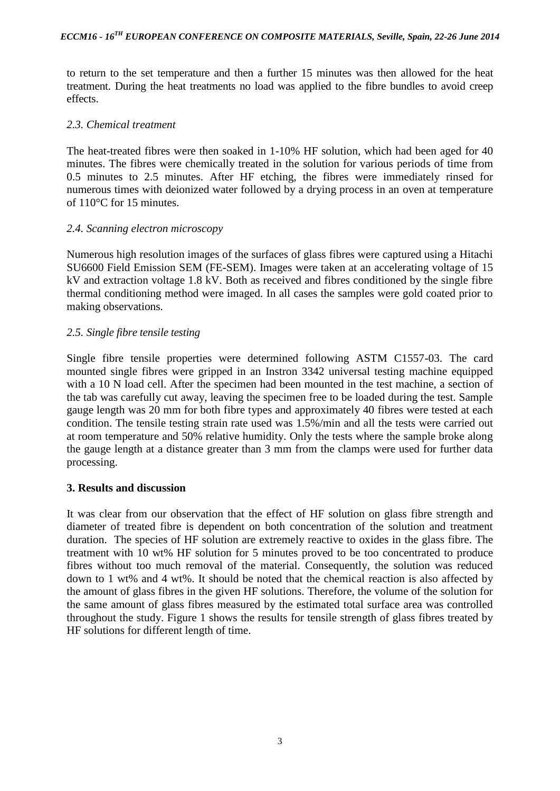to return to the set temperature and then a further 15 minutes was then allowed for the heat treatment. During the heat treatments no load was applied to the fibre bundles to avoid creep effects.

#### *2.3. Chemical treatment*

The heat-treated fibres were then soaked in 1-10% HF solution, which had been aged for 40 minutes. The fibres were chemically treated in the solution for various periods of time from 0.5 minutes to 2.5 minutes. After HF etching, the fibres were immediately rinsed for numerous times with deionized water followed by a drying process in an oven at temperature of 110°C for 15 minutes.

### *2.4. Scanning electron microscopy*

Numerous high resolution images of the surfaces of glass fibres were captured using a Hitachi SU6600 Field Emission SEM (FE-SEM). Images were taken at an accelerating voltage of 15 kV and extraction voltage 1.8 kV. Both as received and fibres conditioned by the single fibre thermal conditioning method were imaged. In all cases the samples were gold coated prior to making observations.

### *2.5. Single fibre tensile testing*

Single fibre tensile properties were determined following ASTM C1557-03. The card mounted single fibres were gripped in an Instron 3342 universal testing machine equipped with a 10 N load cell. After the specimen had been mounted in the test machine, a section of the tab was carefully cut away, leaving the specimen free to be loaded during the test. Sample gauge length was 20 mm for both fibre types and approximately 40 fibres were tested at each condition. The tensile testing strain rate used was 1.5%/min and all the tests were carried out at room temperature and 50% relative humidity. Only the tests where the sample broke along the gauge length at a distance greater than 3 mm from the clamps were used for further data processing.

#### **3. Results and discussion**

It was clear from our observation that the effect of HF solution on glass fibre strength and diameter of treated fibre is dependent on both concentration of the solution and treatment duration. The species of HF solution are extremely reactive to oxides in the glass fibre. The treatment with 10 wt% HF solution for 5 minutes proved to be too concentrated to produce fibres without too much removal of the material. Consequently, the solution was reduced down to 1 wt% and 4 wt%. It should be noted that the chemical reaction is also affected by the amount of glass fibres in the given HF solutions. Therefore, the volume of the solution for the same amount of glass fibres measured by the estimated total surface area was controlled throughout the study. Figure 1 shows the results for tensile strength of glass fibres treated by HF solutions for different length of time.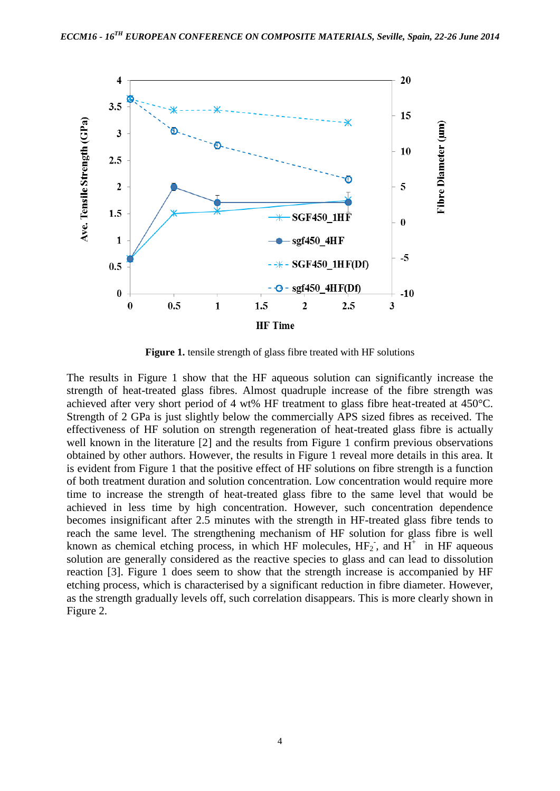

**Figure 1.** tensile strength of glass fibre treated with HF solutions

The results in Figure 1 show that the HF aqueous solution can significantly increase the strength of heat-treated glass fibres. Almost quadruple increase of the fibre strength was achieved after very short period of 4 wt% HF treatment to glass fibre heat-treated at 450°C. Strength of 2 GPa is just slightly below the commercially APS sized fibres as received. The effectiveness of HF solution on strength regeneration of heat-treated glass fibre is actually well known in the literature [2] and the results from Figure 1 confirm previous observations obtained by other authors. However, the results in Figure 1 reveal more details in this area. It is evident from Figure 1 that the positive effect of HF solutions on fibre strength is a function of both treatment duration and solution concentration. Low concentration would require more time to increase the strength of heat-treated glass fibre to the same level that would be achieved in less time by high concentration. However, such concentration dependence becomes insignificant after 2.5 minutes with the strength in HF-treated glass fibre tends to reach the same level. The strengthening mechanism of HF solution for glass fibre is well known as chemical etching process, in which HF molecules,  $HF_2$ , and  $H^+$  in HF aqueous solution are generally considered as the reactive species to glass and can lead to dissolution reaction [3]. Figure 1 does seem to show that the strength increase is accompanied by HF etching process, which is characterised by a significant reduction in fibre diameter. However, as the strength gradually levels off, such correlation disappears. This is more clearly shown in Figure 2.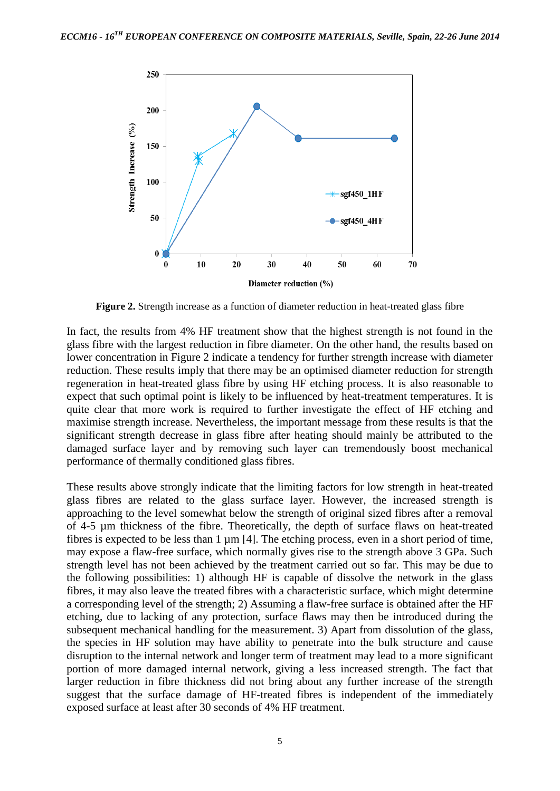

**Figure 2.** Strength increase as a function of diameter reduction in heat-treated glass fibre

In fact, the results from 4% HF treatment show that the highest strength is not found in the glass fibre with the largest reduction in fibre diameter. On the other hand, the results based on lower concentration in Figure 2 indicate a tendency for further strength increase with diameter reduction. These results imply that there may be an optimised diameter reduction for strength regeneration in heat-treated glass fibre by using HF etching process. It is also reasonable to expect that such optimal point is likely to be influenced by heat-treatment temperatures. It is quite clear that more work is required to further investigate the effect of HF etching and maximise strength increase. Nevertheless, the important message from these results is that the significant strength decrease in glass fibre after heating should mainly be attributed to the damaged surface layer and by removing such layer can tremendously boost mechanical performance of thermally conditioned glass fibres.

These results above strongly indicate that the limiting factors for low strength in heat-treated glass fibres are related to the glass surface layer. However, the increased strength is approaching to the level somewhat below the strength of original sized fibres after a removal of 4-5 µm thickness of the fibre. Theoretically, the depth of surface flaws on heat-treated fibres is expected to be less than 1 µm [4]. The etching process, even in a short period of time, may expose a flaw-free surface, which normally gives rise to the strength above 3 GPa. Such strength level has not been achieved by the treatment carried out so far. This may be due to the following possibilities: 1) although HF is capable of dissolve the network in the glass fibres, it may also leave the treated fibres with a characteristic surface, which might determine a corresponding level of the strength; 2) Assuming a flaw-free surface is obtained after the HF etching, due to lacking of any protection, surface flaws may then be introduced during the subsequent mechanical handling for the measurement. 3) Apart from dissolution of the glass, the species in HF solution may have ability to penetrate into the bulk structure and cause disruption to the internal network and longer term of treatment may lead to a more significant portion of more damaged internal network, giving a less increased strength. The fact that larger reduction in fibre thickness did not bring about any further increase of the strength suggest that the surface damage of HF-treated fibres is independent of the immediately exposed surface at least after 30 seconds of 4% HF treatment.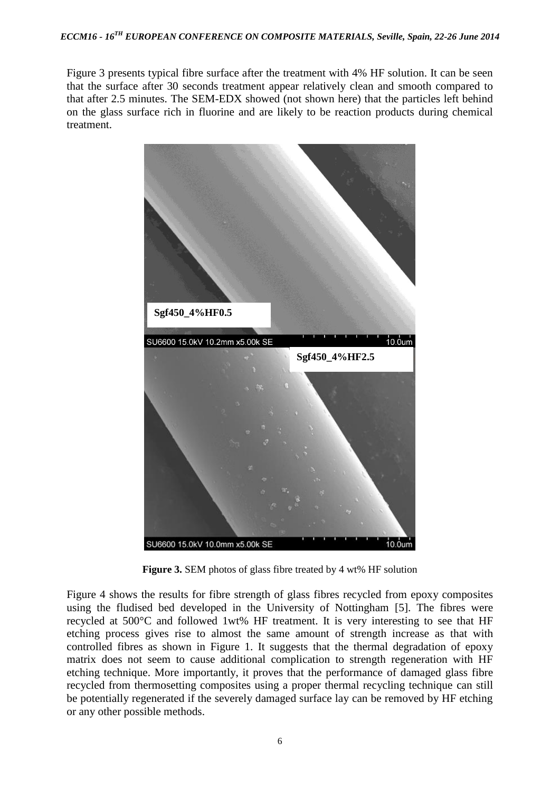Figure 3 presents typical fibre surface after the treatment with 4% HF solution. It can be seen that the surface after 30 seconds treatment appear relatively clean and smooth compared to that after 2.5 minutes. The SEM-EDX showed (not shown here) that the particles left behind on the glass surface rich in fluorine and are likely to be reaction products during chemical treatment.



**Figure 3.** SEM photos of glass fibre treated by 4 wt% HF solution

Figure 4 shows the results for fibre strength of glass fibres recycled from epoxy composites using the fludised bed developed in the University of Nottingham [5]. The fibres were recycled at 500°C and followed 1wt% HF treatment. It is very interesting to see that HF etching process gives rise to almost the same amount of strength increase as that with controlled fibres as shown in Figure 1. It suggests that the thermal degradation of epoxy matrix does not seem to cause additional complication to strength regeneration with HF etching technique. More importantly, it proves that the performance of damaged glass fibre recycled from thermosetting composites using a proper thermal recycling technique can still be potentially regenerated if the severely damaged surface lay can be removed by HF etching or any other possible methods.